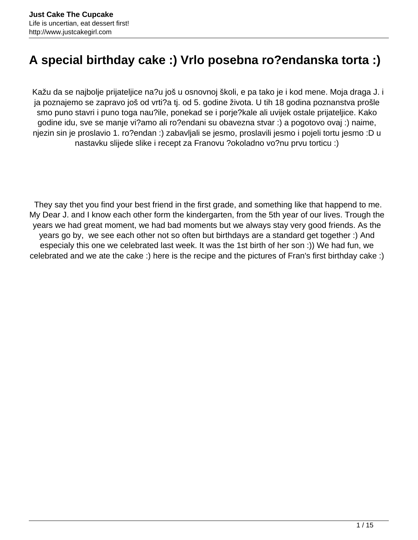# **A special birthday cake :) Vrlo posebna ro?endanska torta :)**

 Kažu da se najbolje prijateljice na?u još u osnovnoj školi, e pa tako je i kod mene. Moja draga J. i ja poznajemo se zapravo još od vrti?a tj. od 5. godine života. U tih 18 godina poznanstva prošle smo puno stavri i puno toga nau?ile, ponekad se i porje?kale ali uvijek ostale prijateljice. Kako godine idu, sve se manje vi?amo ali ro?endani su obavezna stvar :) a pogotovo ovaj :) naime, njezin sin je proslavio 1. ro?endan :) zabavljali se jesmo, proslavili jesmo i pojeli tortu jesmo :D u nastavku slijede slike i recept za Franovu ?okoladno vo?nu prvu torticu :)

 They say thet you find your best friend in the first grade, and something like that happend to me. My Dear J. and I know each other form the kindergarten, from the 5th year of our lives. Trough the years we had great moment, we had bad moments but we always stay very good friends. As the years go by, we see each other not so often but birthdays are a standard get together :) And especialy this one we celebrated last week. It was the 1st birth of her son :)) We had fun, we celebrated and we ate the cake :) here is the recipe and the pictures of Fran's first birthday cake :)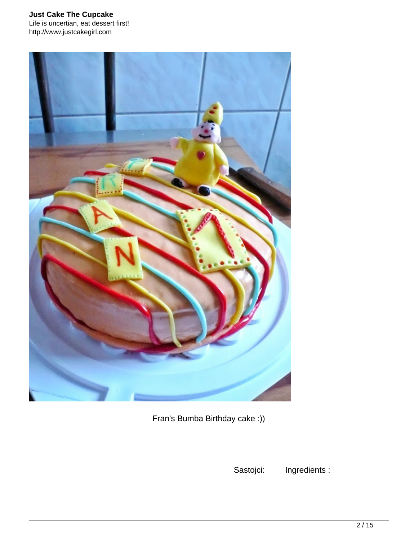

Fran's Bumba Birthday cake :))

Sastojci: Ingredients :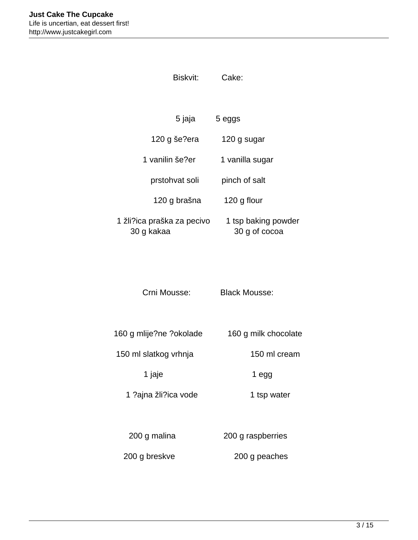| Biskvit:                                 | Cake:                                |
|------------------------------------------|--------------------------------------|
|                                          |                                      |
| 5 jaja                                   | 5 eggs                               |
| 120 g še?era                             | 120 g sugar                          |
| 1 vanilin še?er                          | 1 vanilla sugar                      |
| prstohvat soli                           | pinch of salt                        |
| 120 g brašna                             | 120 g flour                          |
| 1 žli?ica praška za pecivo<br>30 g kakaa | 1 tsp baking powder<br>30 g of cocoa |
|                                          |                                      |
|                                          |                                      |
| Crni Mousse:                             | <b>Black Mousse:</b>                 |
|                                          |                                      |
| 160 g mlije?ne ?okolade                  | 160 g milk chocolate                 |
| 150 ml slatkog vrhnja                    | 150 ml cream                         |
| 1 jaje                                   | 1 egg                                |
| 1 ?ajna žli?ica vode                     | 1 tsp water                          |
|                                          |                                      |
| 200 g malina                             | 200 g raspberries                    |
| 200 g breskve                            | 200 g peaches                        |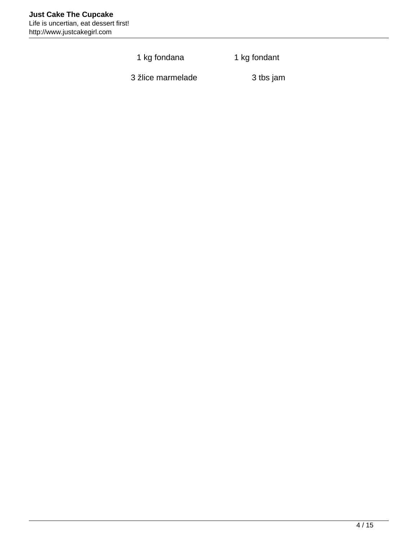1 kg fondana 1 kg fondant

3 žlice marmelade 3 tbs jam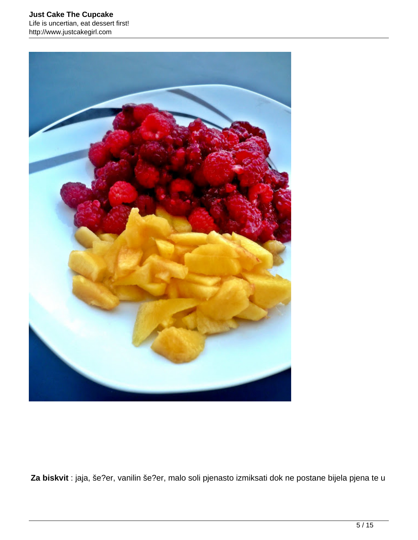

**Za biskvit** : jaja, še?er, vanilin še?er, malo soli pjenasto izmiksati dok ne postane bijela pjena te u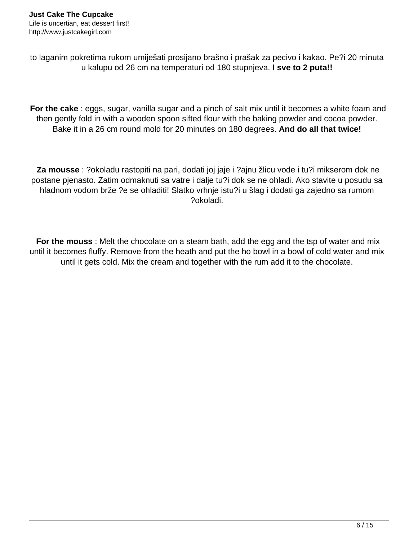to laganim pokretima rukom umiješati prosijano brašno i prašak za pecivo i kakao. Pe?i 20 minuta u kalupu od 26 cm na temperaturi od 180 stupnjeva. **I sve to 2 puta!!**

**For the cake** : eggs, sugar, vanilla sugar and a pinch of salt mix until it becomes a white foam and then gently fold in with a wooden spoon sifted flour with the baking powder and cocoa powder. Bake it in a 26 cm round mold for 20 minutes on 180 degrees. **And do all that twice!**

**Za mousse** : ?okoladu rastopiti na pari, dodati joj jaje i ?ajnu žlicu vode i tu?i mikserom dok ne postane pjenasto. Zatim odmaknuti sa vatre i dalje tu?i dok se ne ohladi. Ako stavite u posudu sa hladnom vodom brže ?e se ohladiti! Slatko vrhnje istu?i u šlag i dodati ga zajedno sa rumom ?okoladi.

**For the mouss** : Melt the chocolate on a steam bath, add the egg and the tsp of water and mix until it becomes fluffy. Remove from the heath and put the ho bowl in a bowl of cold water and mix until it gets cold. Mix the cream and together with the rum add it to the chocolate.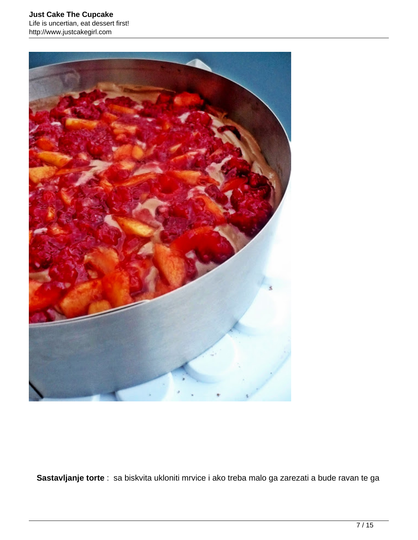

**Sastavljanje torte** : sa biskvita ukloniti mrvice i ako treba malo ga zarezati a bude ravan te ga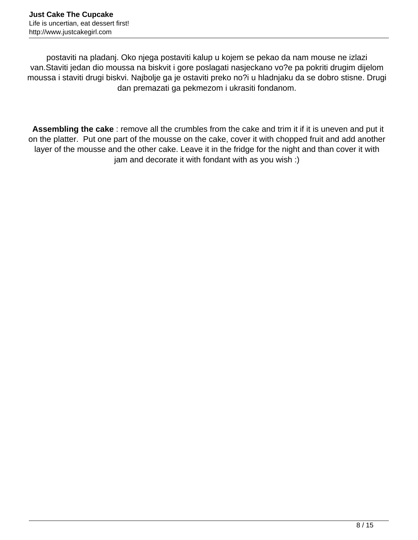postaviti na pladanj. Oko njega postaviti kalup u kojem se pekao da nam mouse ne izlazi van.Staviti jedan dio moussa na biskvit i gore poslagati nasjeckano vo?e pa pokriti drugim dijelom moussa i staviti drugi biskvi. Najbolje ga je ostaviti preko no?i u hladnjaku da se dobro stisne. Drugi dan premazati ga pekmezom i ukrasiti fondanom.

**Assembling the cake** : remove all the crumbles from the cake and trim it if it is uneven and put it on the platter. Put one part of the mousse on the cake, cover it with chopped fruit and add another layer of the mousse and the other cake. Leave it in the fridge for the night and than cover it with jam and decorate it with fondant with as you wish :)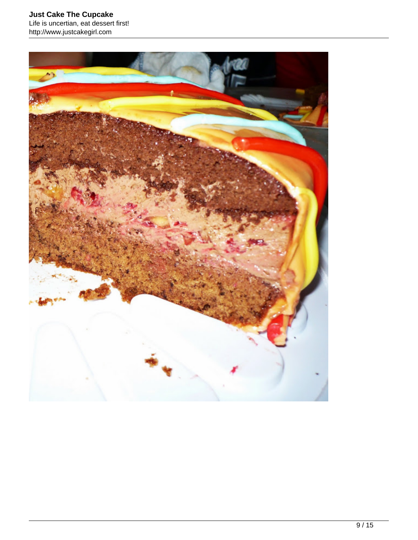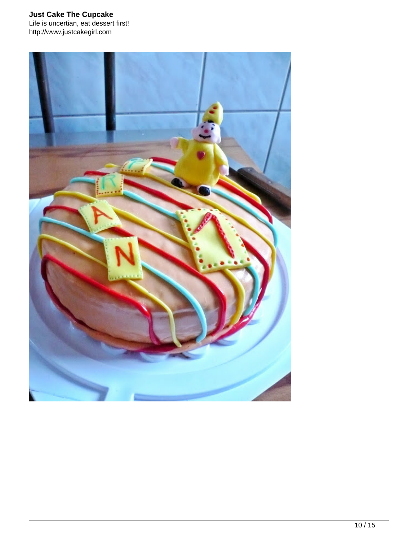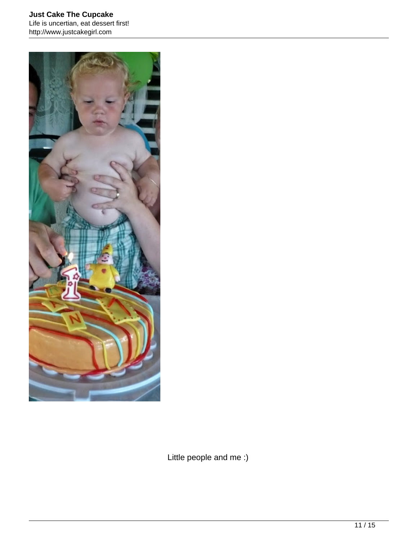

Little people and me :)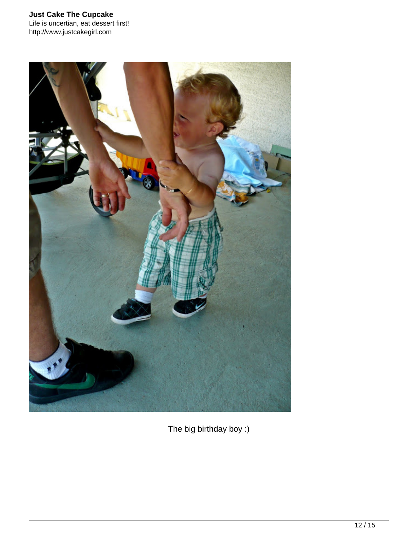

The big birthday boy :)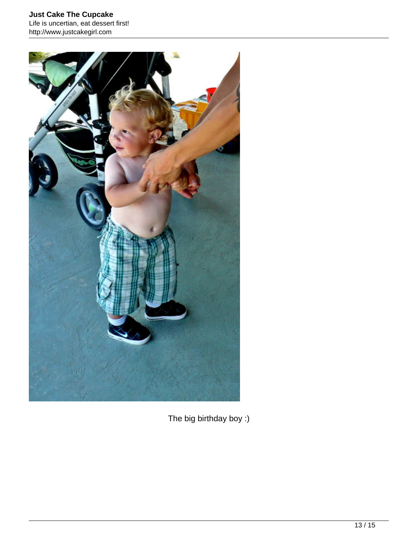

The big birthday boy :)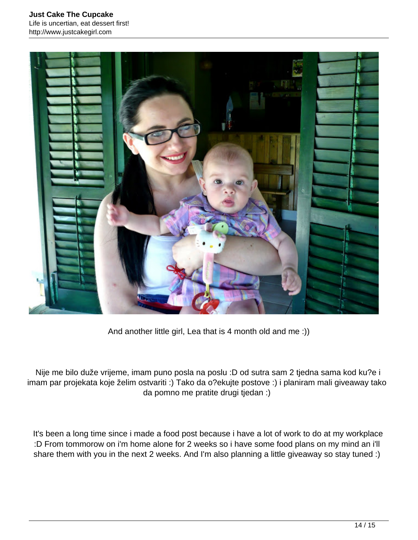

And another little girl, Lea that is 4 month old and me :))

 Nije me bilo duže vrijeme, imam puno posla na poslu :D od sutra sam 2 tjedna sama kod ku?e i imam par projekata koje želim ostvariti :) Tako da o?ekujte postove :) i planiram mali giveaway tako da pomno me pratite drugi tjedan :)

 It's been a long time since i made a food post because i have a lot of work to do at my workplace :D From tommorow on i'm home alone for 2 weeks so i have some food plans on my mind an i'll share them with you in the next 2 weeks. And I'm also planning a little giveaway so stay tuned :)